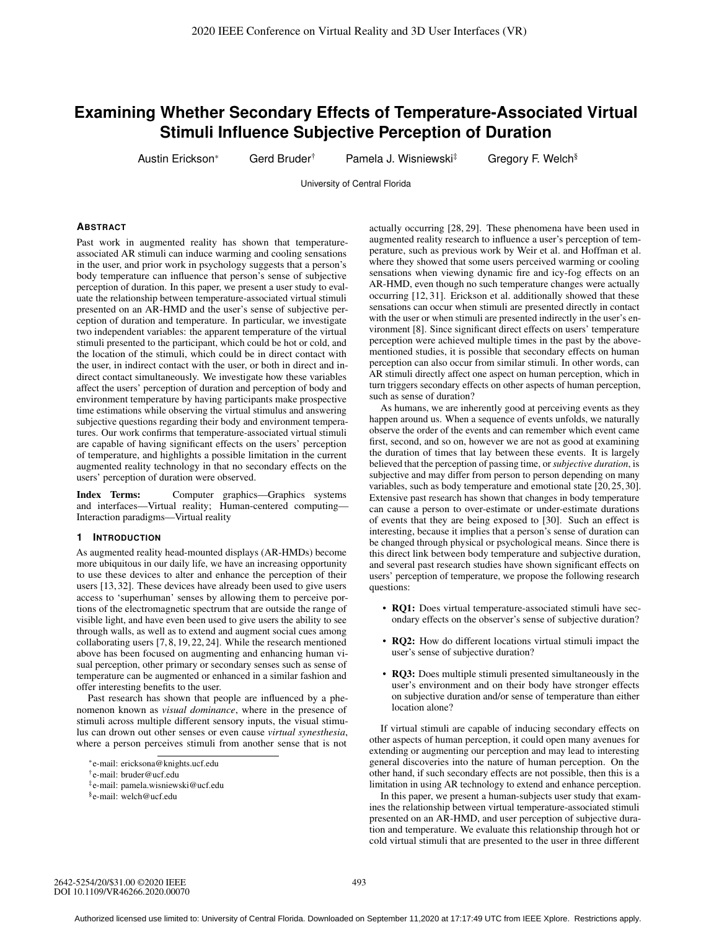# **Examining Whether Secondary Effects of Temperature-Associated Virtual Stimuli Influence Subjective Perception of Duration**

Austin Erickson\* Gerd Bruder<sup>†</sup> Pamela J. Wisniewski<sup>‡</sup> Gregory F. Welch<sup>§</sup>

University of Central Florida

# **ABSTRACT**

Past work in augmented reality has shown that temperatureassociated AR stimuli can induce warming and cooling sensations in the user, and prior work in psychology suggests that a person's body temperature can influence that person's sense of subjective perception of duration. In this paper, we present a user study to evaluate the relationship between temperature-associated virtual stimuli presented on an AR-HMD and the user's sense of subjective perception of duration and temperature. In particular, we investigate two independent variables: the apparent temperature of the virtual stimuli presented to the participant, which could be hot or cold, and the location of the stimuli, which could be in direct contact with the user, in indirect contact with the user, or both in direct and indirect contact simultaneously. We investigate how these variables affect the users' perception of duration and perception of body and environment temperature by having participants make prospective time estimations while observing the virtual stimulus and answering subjective questions regarding their body and environment temperatures. Our work confirms that temperature-associated virtual stimuli are capable of having significant effects on the users' perception of temperature, and highlights a possible limitation in the current augmented reality technology in that no secondary effects on the users' perception of duration were observed.

Index Terms: Computer graphics—Graphics systems and interfaces—Virtual reality; Human-centered computing— Interaction paradigms—Virtual reality

#### **1 INTRODUCTION**

As augmented reality head-mounted displays (AR-HMDs) become more ubiquitous in our daily life, we have an increasing opportunity to use these devices to alter and enhance the perception of their users [13, 32]. These devices have already been used to give users access to 'superhuman' senses by allowing them to perceive portions of the electromagnetic spectrum that are outside the range of visible light, and have even been used to give users the ability to see through walls, as well as to extend and augment social cues among collaborating users [7, 8, 19, 22, 24]. While the research mentioned above has been focused on augmenting and enhancing human visual perception, other primary or secondary senses such as sense of temperature can be augmented or enhanced in a similar fashion and offer interesting benefits to the user.

Past research has shown that people are influenced by a phenomenon known as *visual dominance*, where in the presence of stimuli across multiple different sensory inputs, the visual stimulus can drown out other senses or even cause *virtual synesthesia*, where a person perceives stimuli from another sense that is not

actually occurring [28, 29]. These phenomena have been used in augmented reality research to influence a user's perception of temperature, such as previous work by Weir et al. and Hoffman et al. where they showed that some users perceived warming or cooling sensations when viewing dynamic fire and icy-fog effects on an AR-HMD, even though no such temperature changes were actually occurring [12, 31]. Erickson et al. additionally showed that these sensations can occur when stimuli are presented directly in contact with the user or when stimuli are presented indirectly in the user's environment [8]. Since significant direct effects on users' temperature perception were achieved multiple times in the past by the abovementioned studies, it is possible that secondary effects on human perception can also occur from similar stimuli. In other words, can AR stimuli directly affect one aspect on human perception, which in turn triggers secondary effects on other aspects of human perception, such as sense of duration?

As humans, we are inherently good at perceiving events as they happen around us. When a sequence of events unfolds, we naturally observe the order of the events and can remember which event came first, second, and so on, however we are not as good at examining the duration of times that lay between these events. It is largely believed that the perception of passing time, or *subjective duration*, is subjective and may differ from person to person depending on many variables, such as body temperature and emotional state [20, 25, 30]. Extensive past research has shown that changes in body temperature can cause a person to over-estimate or under-estimate durations of events that they are being exposed to [30]. Such an effect is interesting, because it implies that a person's sense of duration can be changed through physical or psychological means. Since there is this direct link between body temperature and subjective duration, and several past research studies have shown significant effects on users' perception of temperature, we propose the following research questions:

- RQ1: Does virtual temperature-associated stimuli have secondary effects on the observer's sense of subjective duration?
- RQ2: How do different locations virtual stimuli impact the user's sense of subjective duration?
- RQ3: Does multiple stimuli presented simultaneously in the user's environment and on their body have stronger effects on subjective duration and/or sense of temperature than either location alone?

If virtual stimuli are capable of inducing secondary effects on other aspects of human perception, it could open many avenues for extending or augmenting our perception and may lead to interesting general discoveries into the nature of human perception. On the other hand, if such secondary effects are not possible, then this is a limitation in using AR technology to extend and enhance perception.

In this paper, we present a human-subjects user study that examines the relationship between virtual temperature-associated stimuli presented on an AR-HMD, and user perception of subjective duration and temperature. We evaluate this relationship through hot or cold virtual stimuli that are presented to the user in three different

<sup>\*</sup>e-mail: ericksona@knights.ucf.edu

<sup>†</sup>e-mail: bruder@ucf.edu

<sup>‡</sup>e-mail: pamela.wisniewski@ucf.edu

<sup>§</sup>e-mail: welch@ucf.edu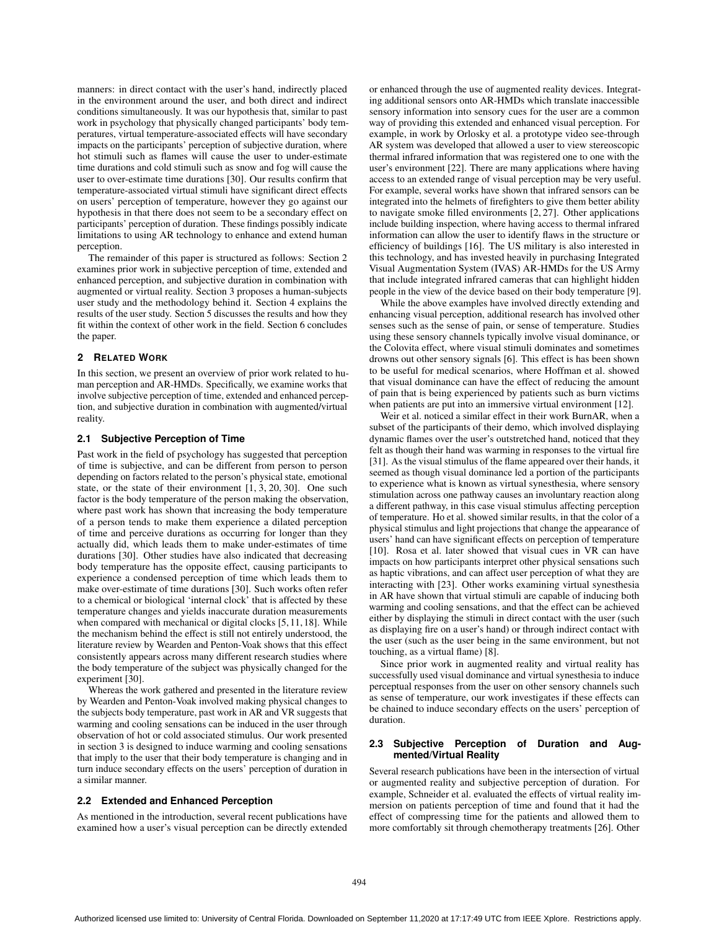manners: in direct contact with the user's hand, indirectly placed in the environment around the user, and both direct and indirect conditions simultaneously. It was our hypothesis that, similar to past work in psychology that physically changed participants' body temperatures, virtual temperature-associated effects will have secondary impacts on the participants' perception of subjective duration, where hot stimuli such as flames will cause the user to under-estimate time durations and cold stimuli such as snow and fog will cause the user to over-estimate time durations [30]. Our results confirm that temperature-associated virtual stimuli have significant direct effects on users' perception of temperature, however they go against our hypothesis in that there does not seem to be a secondary effect on participants' perception of duration. These findings possibly indicate limitations to using AR technology to enhance and extend human perception.

The remainder of this paper is structured as follows: Section 2 examines prior work in subjective perception of time, extended and enhanced perception, and subjective duration in combination with augmented or virtual reality. Section 3 proposes a human-subjects user study and the methodology behind it. Section 4 explains the results of the user study. Section 5 discusses the results and how they fit within the context of other work in the field. Section 6 concludes the paper.

#### **2 RELATED WORK**

In this section, we present an overview of prior work related to human perception and AR-HMDs. Specifically, we examine works that involve subjective perception of time, extended and enhanced perception, and subjective duration in combination with augmented/virtual reality.

#### **2.1 Subjective Perception of Time**

Past work in the field of psychology has suggested that perception of time is subjective, and can be different from person to person depending on factors related to the person's physical state, emotional state, or the state of their environment [1, 3, 20, 30]. One such factor is the body temperature of the person making the observation, where past work has shown that increasing the body temperature of a person tends to make them experience a dilated perception of time and perceive durations as occurring for longer than they actually did, which leads them to make under-estimates of time durations [30]. Other studies have also indicated that decreasing body temperature has the opposite effect, causing participants to experience a condensed perception of time which leads them to make over-estimate of time durations [30]. Such works often refer to a chemical or biological 'internal clock' that is affected by these temperature changes and yields inaccurate duration measurements when compared with mechanical or digital clocks [5, 11, 18]. While the mechanism behind the effect is still not entirely understood, the literature review by Wearden and Penton-Voak shows that this effect consistently appears across many different research studies where the body temperature of the subject was physically changed for the experiment [30].

Whereas the work gathered and presented in the literature review by Wearden and Penton-Voak involved making physical changes to the subjects body temperature, past work in AR and VR suggests that warming and cooling sensations can be induced in the user through observation of hot or cold associated stimulus. Our work presented in section 3 is designed to induce warming and cooling sensations that imply to the user that their body temperature is changing and in turn induce secondary effects on the users' perception of duration in a similar manner.

#### **2.2 Extended and Enhanced Perception**

As mentioned in the introduction, several recent publications have examined how a user's visual perception can be directly extended or enhanced through the use of augmented reality devices. Integrating additional sensors onto AR-HMDs which translate inaccessible sensory information into sensory cues for the user are a common way of providing this extended and enhanced visual perception. For example, in work by Orlosky et al. a prototype video see-through AR system was developed that allowed a user to view stereoscopic thermal infrared information that was registered one to one with the user's environment [22]. There are many applications where having access to an extended range of visual perception may be very useful. For example, several works have shown that infrared sensors can be integrated into the helmets of firefighters to give them better ability to navigate smoke filled environments [2, 27]. Other applications include building inspection, where having access to thermal infrared information can allow the user to identify flaws in the structure or efficiency of buildings [16]. The US military is also interested in this technology, and has invested heavily in purchasing Integrated Visual Augmentation System (IVAS) AR-HMDs for the US Army that include integrated infrared cameras that can highlight hidden people in the view of the device based on their body temperature [9].

While the above examples have involved directly extending and enhancing visual perception, additional research has involved other senses such as the sense of pain, or sense of temperature. Studies using these sensory channels typically involve visual dominance, or the Colovita effect, where visual stimuli dominates and sometimes drowns out other sensory signals [6]. This effect is has been shown to be useful for medical scenarios, where Hoffman et al. showed that visual dominance can have the effect of reducing the amount of pain that is being experienced by patients such as burn victims when patients are put into an immersive virtual environment [12].

Weir et al. noticed a similar effect in their work BurnAR, when a subset of the participants of their demo, which involved displaying dynamic flames over the user's outstretched hand, noticed that they felt as though their hand was warming in responses to the virtual fire [31]. As the visual stimulus of the flame appeared over their hands, it seemed as though visual dominance led a portion of the participants to experience what is known as virtual synesthesia, where sensory stimulation across one pathway causes an involuntary reaction along a different pathway, in this case visual stimulus affecting perception of temperature. Ho et al. showed similar results, in that the color of a physical stimulus and light projections that change the appearance of users' hand can have significant effects on perception of temperature [10]. Rosa et al. later showed that visual cues in VR can have impacts on how participants interpret other physical sensations such as haptic vibrations, and can affect user perception of what they are interacting with [23]. Other works examining virtual synesthesia in AR have shown that virtual stimuli are capable of inducing both warming and cooling sensations, and that the effect can be achieved either by displaying the stimuli in direct contact with the user (such as displaying fire on a user's hand) or through indirect contact with the user (such as the user being in the same environment, but not touching, as a virtual flame) [8].

Since prior work in augmented reality and virtual reality has successfully used visual dominance and virtual synesthesia to induce perceptual responses from the user on other sensory channels such as sense of temperature, our work investigates if these effects can be chained to induce secondary effects on the users' perception of duration.

# **2.3 Subjective Perception of Duration and Augmented/Virtual Reality**

Several research publications have been in the intersection of virtual or augmented reality and subjective perception of duration. For example, Schneider et al. evaluated the effects of virtual reality immersion on patients perception of time and found that it had the effect of compressing time for the patients and allowed them to more comfortably sit through chemotherapy treatments [26]. Other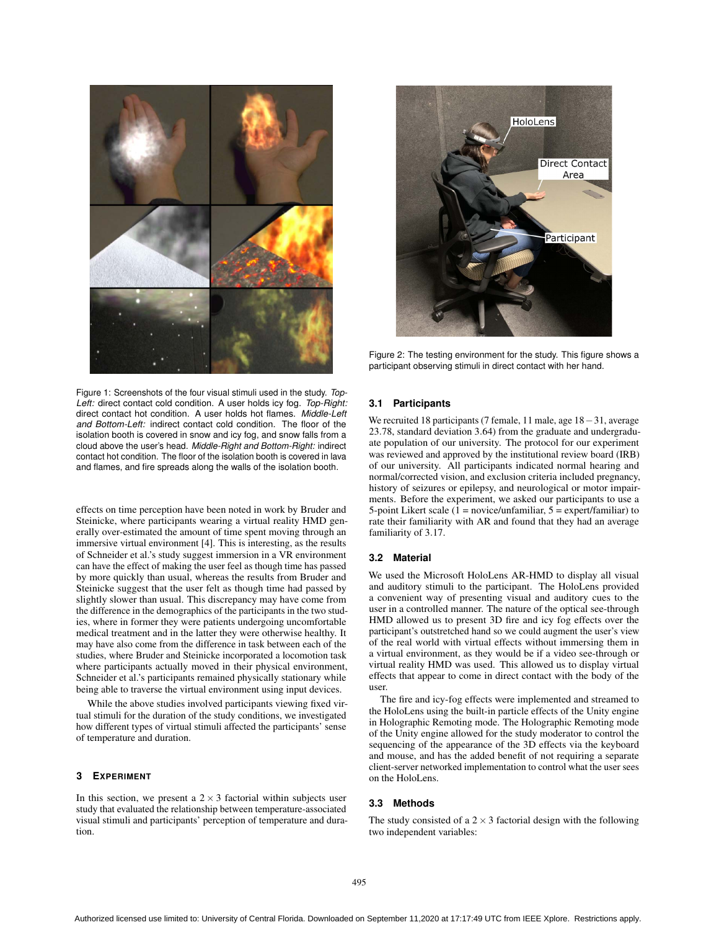



Figure 2: The testing environment for the study. This figure shows a participant observing stimuli in direct contact with her hand.

Figure 1: Screenshots of the four visual stimuli used in the study. *Top-Left:* direct contact cold condition. A user holds icy fog. *Top-Right:* direct contact hot condition. A user holds hot flames. *Middle-Left and Bottom-Left:* indirect contact cold condition. The floor of the isolation booth is covered in snow and icy fog, and snow falls from a cloud above the user's head. *Middle-Right and Bottom-Right:* indirect contact hot condition. The floor of the isolation booth is covered in lava and flames, and fire spreads along the walls of the isolation booth.

effects on time perception have been noted in work by Bruder and Steinicke, where participants wearing a virtual reality HMD generally over-estimated the amount of time spent moving through an immersive virtual environment [4]. This is interesting, as the results of Schneider et al.'s study suggest immersion in a VR environment can have the effect of making the user feel as though time has passed by more quickly than usual, whereas the results from Bruder and Steinicke suggest that the user felt as though time had passed by slightly slower than usual. This discrepancy may have come from the difference in the demographics of the participants in the two studies, where in former they were patients undergoing uncomfortable medical treatment and in the latter they were otherwise healthy. It may have also come from the difference in task between each of the studies, where Bruder and Steinicke incorporated a locomotion task where participants actually moved in their physical environment, Schneider et al.'s participants remained physically stationary while being able to traverse the virtual environment using input devices.

While the above studies involved participants viewing fixed virtual stimuli for the duration of the study conditions, we investigated how different types of virtual stimuli affected the participants' sense of temperature and duration.

# **3 EXPERIMENT**

In this section, we present a  $2 \times 3$  factorial within subjects user study that evaluated the relationship between temperature-associated visual stimuli and participants' perception of temperature and duration.

#### **3.1 Participants**

We recruited 18 participants (7 female, 11 male, age 18−31, average 23.78, standard deviation 3.64) from the graduate and undergraduate population of our university. The protocol for our experiment was reviewed and approved by the institutional review board (IRB) of our university. All participants indicated normal hearing and normal/corrected vision, and exclusion criteria included pregnancy, history of seizures or epilepsy, and neurological or motor impairments. Before the experiment, we asked our participants to use a 5-point Likert scale  $(1 = \text{novice/unfamiliar}, 5 = \text{expert/familiar})$  to rate their familiarity with AR and found that they had an average familiarity of 3.17.

## **3.2 Material**

We used the Microsoft HoloLens AR-HMD to display all visual and auditory stimuli to the participant. The HoloLens provided a convenient way of presenting visual and auditory cues to the user in a controlled manner. The nature of the optical see-through HMD allowed us to present 3D fire and icy fog effects over the participant's outstretched hand so we could augment the user's view of the real world with virtual effects without immersing them in a virtual environment, as they would be if a video see-through or virtual reality HMD was used. This allowed us to display virtual effects that appear to come in direct contact with the body of the user.

The fire and icy-fog effects were implemented and streamed to the HoloLens using the built-in particle effects of the Unity engine in Holographic Remoting mode. The Holographic Remoting mode of the Unity engine allowed for the study moderator to control the sequencing of the appearance of the 3D effects via the keyboard and mouse, and has the added benefit of not requiring a separate client-server networked implementation to control what the user sees on the HoloLens.

# **3.3 Methods**

The study consisted of a  $2 \times 3$  factorial design with the following two independent variables: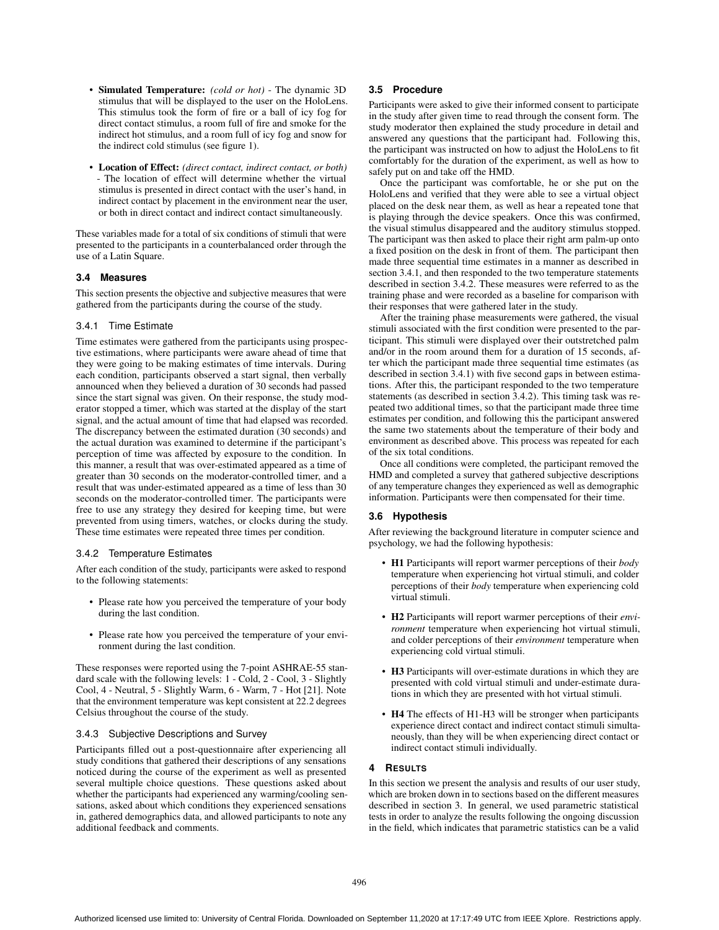- Simulated Temperature: *(cold or hot)* The dynamic 3D stimulus that will be displayed to the user on the HoloLens. This stimulus took the form of fire or a ball of icy fog for direct contact stimulus, a room full of fire and smoke for the indirect hot stimulus, and a room full of icy fog and snow for the indirect cold stimulus (see figure 1).
- Location of Effect: *(direct contact, indirect contact, or both)* - The location of effect will determine whether the virtual stimulus is presented in direct contact with the user's hand, in indirect contact by placement in the environment near the user, or both in direct contact and indirect contact simultaneously.

These variables made for a total of six conditions of stimuli that were presented to the participants in a counterbalanced order through the use of a Latin Square.

# **3.4 Measures**

This section presents the objective and subjective measures that were gathered from the participants during the course of the study.

# 3.4.1 Time Estimate

Time estimates were gathered from the participants using prospective estimations, where participants were aware ahead of time that they were going to be making estimates of time intervals. During each condition, participants observed a start signal, then verbally announced when they believed a duration of 30 seconds had passed since the start signal was given. On their response, the study moderator stopped a timer, which was started at the display of the start signal, and the actual amount of time that had elapsed was recorded. The discrepancy between the estimated duration (30 seconds) and the actual duration was examined to determine if the participant's perception of time was affected by exposure to the condition. In this manner, a result that was over-estimated appeared as a time of greater than 30 seconds on the moderator-controlled timer, and a result that was under-estimated appeared as a time of less than 30 seconds on the moderator-controlled timer. The participants were free to use any strategy they desired for keeping time, but were prevented from using timers, watches, or clocks during the study. These time estimates were repeated three times per condition.

## 3.4.2 Temperature Estimates

After each condition of the study, participants were asked to respond to the following statements:

- Please rate how you perceived the temperature of your body during the last condition.
- Please rate how you perceived the temperature of your environment during the last condition.

These responses were reported using the 7-point ASHRAE-55 standard scale with the following levels: 1 - Cold, 2 - Cool, 3 - Slightly Cool, 4 - Neutral, 5 - Slightly Warm, 6 - Warm, 7 - Hot [21]. Note that the environment temperature was kept consistent at 22.2 degrees Celsius throughout the course of the study.

## 3.4.3 Subjective Descriptions and Survey

Participants filled out a post-questionnaire after experiencing all study conditions that gathered their descriptions of any sensations noticed during the course of the experiment as well as presented several multiple choice questions. These questions asked about whether the participants had experienced any warming/cooling sensations, asked about which conditions they experienced sensations in, gathered demographics data, and allowed participants to note any additional feedback and comments.

# **3.5 Procedure**

Participants were asked to give their informed consent to participate in the study after given time to read through the consent form. The study moderator then explained the study procedure in detail and answered any questions that the participant had. Following this, the participant was instructed on how to adjust the HoloLens to fit comfortably for the duration of the experiment, as well as how to safely put on and take off the HMD.

Once the participant was comfortable, he or she put on the HoloLens and verified that they were able to see a virtual object placed on the desk near them, as well as hear a repeated tone that is playing through the device speakers. Once this was confirmed, the visual stimulus disappeared and the auditory stimulus stopped. The participant was then asked to place their right arm palm-up onto a fixed position on the desk in front of them. The participant then made three sequential time estimates in a manner as described in section 3.4.1, and then responded to the two temperature statements described in section 3.4.2. These measures were referred to as the training phase and were recorded as a baseline for comparison with their responses that were gathered later in the study.

After the training phase measurements were gathered, the visual stimuli associated with the first condition were presented to the participant. This stimuli were displayed over their outstretched palm and/or in the room around them for a duration of 15 seconds, after which the participant made three sequential time estimates (as described in section 3.4.1) with five second gaps in between estimations. After this, the participant responded to the two temperature statements (as described in section 3.4.2). This timing task was repeated two additional times, so that the participant made three time estimates per condition, and following this the participant answered the same two statements about the temperature of their body and environment as described above. This process was repeated for each of the six total conditions.

Once all conditions were completed, the participant removed the HMD and completed a survey that gathered subjective descriptions of any temperature changes they experienced as well as demographic information. Participants were then compensated for their time.

# **3.6 Hypothesis**

After reviewing the background literature in computer science and psychology, we had the following hypothesis:

- H1 Participants will report warmer perceptions of their *body* temperature when experiencing hot virtual stimuli, and colder perceptions of their *body* temperature when experiencing cold virtual stimuli.
- H2 Participants will report warmer perceptions of their *environment* temperature when experiencing hot virtual stimuli, and colder perceptions of their *environment* temperature when experiencing cold virtual stimuli.
- H3 Participants will over-estimate durations in which they are presented with cold virtual stimuli and under-estimate durations in which they are presented with hot virtual stimuli.
- H4 The effects of H1-H3 will be stronger when participants experience direct contact and indirect contact stimuli simultaneously, than they will be when experiencing direct contact or indirect contact stimuli individually.

# **4 RESULTS**

In this section we present the analysis and results of our user study, which are broken down in to sections based on the different measures described in section 3. In general, we used parametric statistical tests in order to analyze the results following the ongoing discussion in the field, which indicates that parametric statistics can be a valid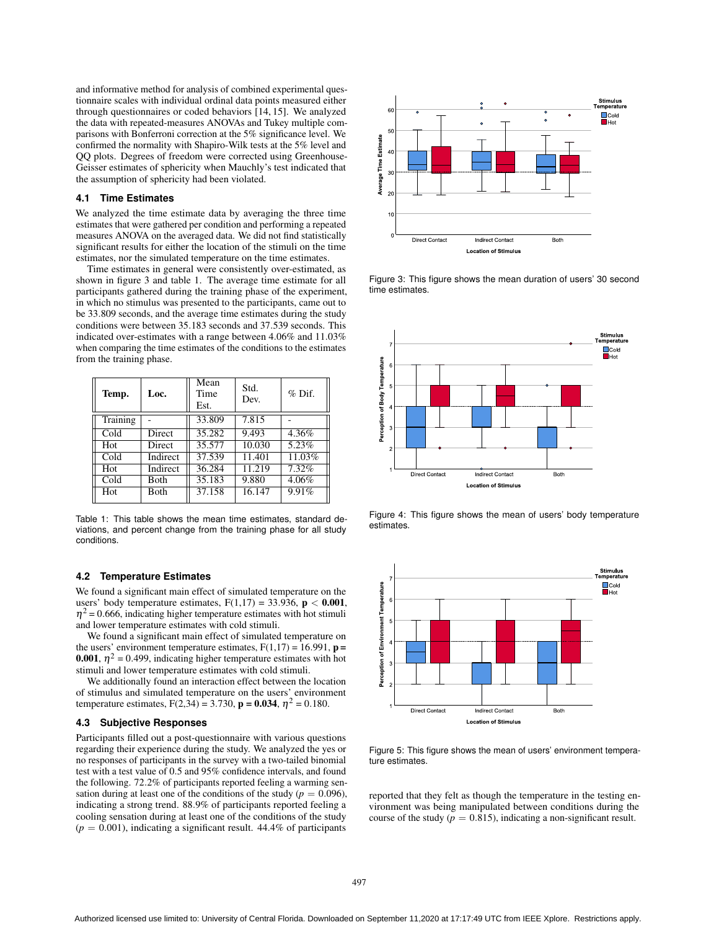and informative method for analysis of combined experimental questionnaire scales with individual ordinal data points measured either through questionnaires or coded behaviors [14, 15]. We analyzed the data with repeated-measures ANOVAs and Tukey multiple comparisons with Bonferroni correction at the 5% significance level. We confirmed the normality with Shapiro-Wilk tests at the 5% level and QQ plots. Degrees of freedom were corrected using Greenhouse-Geisser estimates of sphericity when Mauchly's test indicated that the assumption of sphericity had been violated.

## **4.1 Time Estimates**

We analyzed the time estimate data by averaging the three time estimates that were gathered per condition and performing a repeated measures ANOVA on the averaged data. We did not find statistically significant results for either the location of the stimuli on the time estimates, nor the simulated temperature on the time estimates.

Time estimates in general were consistently over-estimated, as shown in figure 3 and table 1. The average time estimate for all participants gathered during the training phase of the experiment, in which no stimulus was presented to the participants, came out to be 33.809 seconds, and the average time estimates during the study conditions were between 35.183 seconds and 37.539 seconds. This indicated over-estimates with a range between 4.06% and 11.03% when comparing the time estimates of the conditions to the estimates from the training phase.

| Temp.    | Loc.          | Mean<br>Time<br>Est. | Std.<br>Dev. | $%$ Dif. |
|----------|---------------|----------------------|--------------|----------|
| Training |               | 33.809               | 7.815        |          |
| Cold     | Direct        | 35.282               | 9.493        | 4.36%    |
| Hot      | <b>Direct</b> | 35.577               | 10.030       | 5.23%    |
| Cold     | Indirect      | 37.539               | 11.401       | 11.03%   |
| Hot      | Indirect      | 36.284               | 11.219       | 7.32%    |
| Cold     | <b>Both</b>   | 35.183               | 9.880        | 4.06%    |
| Hot      | <b>Both</b>   | 37.158               | 16.147       | 9.91%    |

Table 1: This table shows the mean time estimates, standard deviations, and percent change from the training phase for all study conditions.

#### **4.2 Temperature Estimates**

We found a significant main effect of simulated temperature on the users' body temperature estimates,  $F(1,17) = 33.936$ ,  $p < 0.001$ ,  $\eta^2$  = 0.666, indicating higher temperature estimates with hot stimuli and lower temperature estimates with cold stimuli.

We found a significant main effect of simulated temperature on the users' environment temperature estimates,  $F(1,17) = 16.991$ ,  $p =$ **0.001**,  $\eta^2 = 0.499$ , indicating higher temperature estimates with hot stimuli and lower temperature estimates with cold stimuli.

We additionally found an interaction effect between the location of stimulus and simulated temperature on the users' environment temperature estimates,  $F(2,34) = 3.730$ ,  $p = 0.034$ ,  $\eta^2 = 0.180$ .

#### **4.3 Subjective Responses**

Participants filled out a post-questionnaire with various questions regarding their experience during the study. We analyzed the yes or no responses of participants in the survey with a two-tailed binomial test with a test value of 0.5 and 95% confidence intervals, and found the following. 72.2% of participants reported feeling a warming sensation during at least one of the conditions of the study ( $p = 0.096$ ), indicating a strong trend. 88.9% of participants reported feeling a cooling sensation during at least one of the conditions of the study  $(p = 0.001)$ , indicating a significant result. 44.4% of participants



Figure 3: This figure shows the mean duration of users' 30 second time estimates.



Figure 4: This figure shows the mean of users' body temperature estimates.



Figure 5: This figure shows the mean of users' environment temperature estimates.

reported that they felt as though the temperature in the testing environment was being manipulated between conditions during the course of the study ( $p = 0.815$ ), indicating a non-significant result.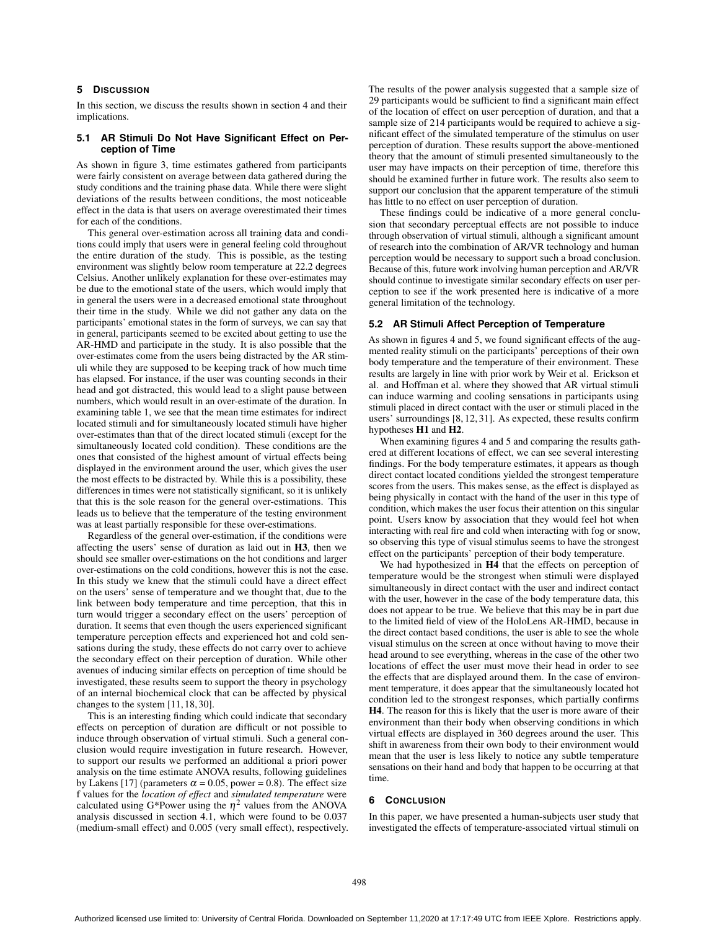# **5 DISCUSSION**

In this section, we discuss the results shown in section 4 and their implications.

## **5.1 AR Stimuli Do Not Have Significant Effect on Perception of Time**

As shown in figure 3, time estimates gathered from participants were fairly consistent on average between data gathered during the study conditions and the training phase data. While there were slight deviations of the results between conditions, the most noticeable effect in the data is that users on average overestimated their times for each of the conditions.

This general over-estimation across all training data and conditions could imply that users were in general feeling cold throughout the entire duration of the study. This is possible, as the testing environment was slightly below room temperature at 22.2 degrees Celsius. Another unlikely explanation for these over-estimates may be due to the emotional state of the users, which would imply that in general the users were in a decreased emotional state throughout their time in the study. While we did not gather any data on the participants' emotional states in the form of surveys, we can say that in general, participants seemed to be excited about getting to use the AR-HMD and participate in the study. It is also possible that the over-estimates come from the users being distracted by the AR stimuli while they are supposed to be keeping track of how much time has elapsed. For instance, if the user was counting seconds in their head and got distracted, this would lead to a slight pause between numbers, which would result in an over-estimate of the duration. In examining table 1, we see that the mean time estimates for indirect located stimuli and for simultaneously located stimuli have higher over-estimates than that of the direct located stimuli (except for the simultaneously located cold condition). These conditions are the ones that consisted of the highest amount of virtual effects being displayed in the environment around the user, which gives the user the most effects to be distracted by. While this is a possibility, these differences in times were not statistically significant, so it is unlikely that this is the sole reason for the general over-estimations. This leads us to believe that the temperature of the testing environment was at least partially responsible for these over-estimations.

Regardless of the general over-estimation, if the conditions were affecting the users' sense of duration as laid out in H3, then we should see smaller over-estimations on the hot conditions and larger over-estimations on the cold conditions, however this is not the case. In this study we knew that the stimuli could have a direct effect on the users' sense of temperature and we thought that, due to the link between body temperature and time perception, that this in turn would trigger a secondary effect on the users' perception of duration. It seems that even though the users experienced significant temperature perception effects and experienced hot and cold sensations during the study, these effects do not carry over to achieve the secondary effect on their perception of duration. While other avenues of inducing similar effects on perception of time should be investigated, these results seem to support the theory in psychology of an internal biochemical clock that can be affected by physical changes to the system [11, 18, 30].

This is an interesting finding which could indicate that secondary effects on perception of duration are difficult or not possible to induce through observation of virtual stimuli. Such a general conclusion would require investigation in future research. However, to support our results we performed an additional a priori power analysis on the time estimate ANOVA results, following guidelines by Lakens [17] (parameters  $\alpha = 0.05$ , power = 0.8). The effect size f values for the *location of effect* and *simulated temperature* were calculated using G\*Power using the  $\eta^2$  values from the ANOVA analysis discussed in section 4.1, which were found to be 0.037 (medium-small effect) and 0.005 (very small effect), respectively. The results of the power analysis suggested that a sample size of 29 participants would be sufficient to find a significant main effect of the location of effect on user perception of duration, and that a sample size of 214 participants would be required to achieve a significant effect of the simulated temperature of the stimulus on user perception of duration. These results support the above-mentioned theory that the amount of stimuli presented simultaneously to the user may have impacts on their perception of time, therefore this should be examined further in future work. The results also seem to support our conclusion that the apparent temperature of the stimuli has little to no effect on user perception of duration.

These findings could be indicative of a more general conclusion that secondary perceptual effects are not possible to induce through observation of virtual stimuli, although a significant amount of research into the combination of AR/VR technology and human perception would be necessary to support such a broad conclusion. Because of this, future work involving human perception and AR/VR should continue to investigate similar secondary effects on user perception to see if the work presented here is indicative of a more general limitation of the technology.

#### **5.2 AR Stimuli Affect Perception of Temperature**

As shown in figures 4 and 5, we found significant effects of the augmented reality stimuli on the participants' perceptions of their own body temperature and the temperature of their environment. These results are largely in line with prior work by Weir et al. Erickson et al. and Hoffman et al. where they showed that AR virtual stimuli can induce warming and cooling sensations in participants using stimuli placed in direct contact with the user or stimuli placed in the users' surroundings [8, 12, 31]. As expected, these results confirm hypotheses H1 and H2.

When examining figures 4 and 5 and comparing the results gathered at different locations of effect, we can see several interesting findings. For the body temperature estimates, it appears as though direct contact located conditions yielded the strongest temperature scores from the users. This makes sense, as the effect is displayed as being physically in contact with the hand of the user in this type of condition, which makes the user focus their attention on this singular point. Users know by association that they would feel hot when interacting with real fire and cold when interacting with fog or snow, so observing this type of visual stimulus seems to have the strongest effect on the participants' perception of their body temperature.

We had hypothesized in  $H4$  that the effects on perception of temperature would be the strongest when stimuli were displayed simultaneously in direct contact with the user and indirect contact with the user, however in the case of the body temperature data, this does not appear to be true. We believe that this may be in part due to the limited field of view of the HoloLens AR-HMD, because in the direct contact based conditions, the user is able to see the whole visual stimulus on the screen at once without having to move their head around to see everything, whereas in the case of the other two locations of effect the user must move their head in order to see the effects that are displayed around them. In the case of environment temperature, it does appear that the simultaneously located hot condition led to the strongest responses, which partially confirms H4. The reason for this is likely that the user is more aware of their environment than their body when observing conditions in which virtual effects are displayed in 360 degrees around the user. This shift in awareness from their own body to their environment would mean that the user is less likely to notice any subtle temperature sensations on their hand and body that happen to be occurring at that time.

#### **6 CONCLUSION**

In this paper, we have presented a human-subjects user study that investigated the effects of temperature-associated virtual stimuli on